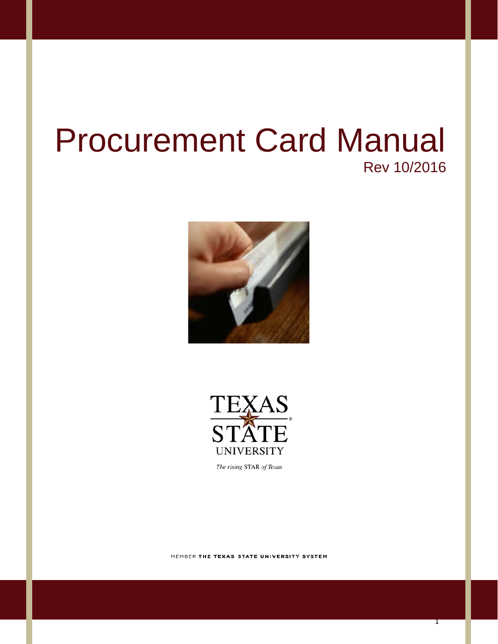# Procurement Card Manual Rev 10/2016





The rising STAR of Texas

MEMBER THE TEXAS STATE UNIVERSITY SYSTEM

1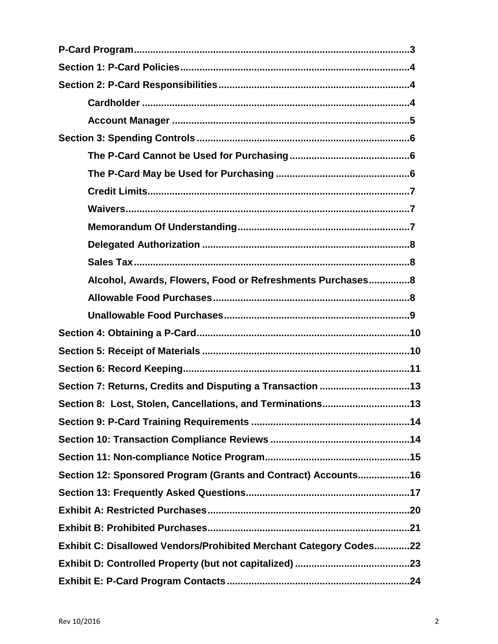| Alcohol, Awards, Flowers, Food or Refreshments Purchases8          |  |
|--------------------------------------------------------------------|--|
|                                                                    |  |
|                                                                    |  |
|                                                                    |  |
|                                                                    |  |
|                                                                    |  |
| Section 7: Returns, Credits and Disputing a Transaction 13         |  |
| Section 8: Lost, Stolen, Cancellations, and Terminations13         |  |
|                                                                    |  |
|                                                                    |  |
|                                                                    |  |
| Section 12: Sponsored Program (Grants and Contract) Accounts16     |  |
|                                                                    |  |
|                                                                    |  |
|                                                                    |  |
| Exhibit C: Disallowed Vendors/Prohibited Merchant Category Codes22 |  |
|                                                                    |  |
|                                                                    |  |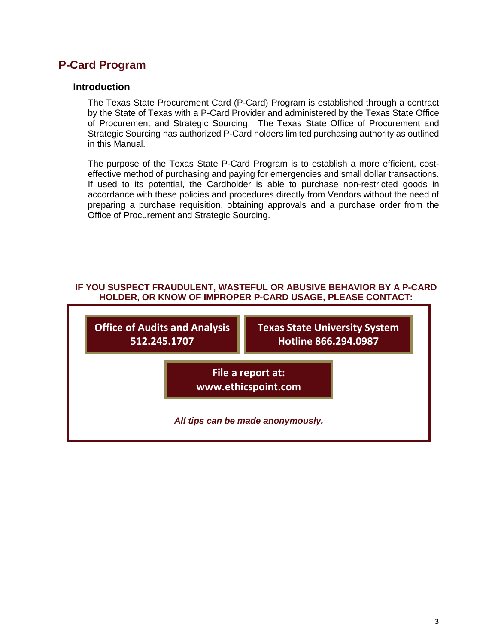# **P-Card Program**

#### **Introduction**

The Texas State Procurement Card (P-Card) Program is established through a contract by the State of Texas with a P-Card Provider and administered by the Texas State Office of Procurement and Strategic Sourcing. The Texas State Office of Procurement and Strategic Sourcing has authorized P-Card holders limited purchasing authority as outlined in this Manual.

The purpose of the Texas State P-Card Program is to establish a more efficient, costeffective method of purchasing and paying for emergencies and small dollar transactions. If used to its potential, the Cardholder is able to purchase non-restricted goods in accordance with these policies and procedures directly from Vendors without the need of preparing a purchase requisition, obtaining approvals and a purchase order from the Office of Procurement and Strategic Sourcing.

#### **IF YOU SUSPECT FRAUDULENT, WASTEFUL OR ABUSIVE BEHAVIOR BY A P-CARD HOLDER, OR KNOW OF IMPROPER P-CARD USAGE, PLEASE CONTACT:**

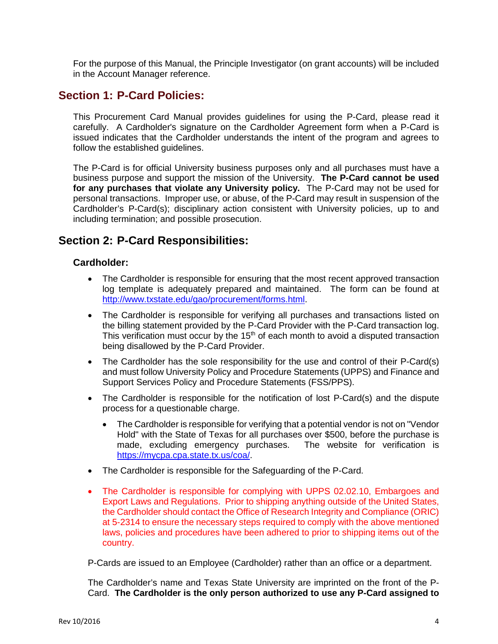For the purpose of this Manual, the Principle Investigator (on grant accounts) will be included in the Account Manager reference.

## **Section 1: P-Card Policies:**

This Procurement Card Manual provides guidelines for using the P-Card, please read it carefully. A Cardholder's signature on the Cardholder Agreement form when a P-Card is issued indicates that the Cardholder understands the intent of the program and agrees to follow the established guidelines.

The P-Card is for official University business purposes only and all purchases must have a business purpose and support the mission of the University. **The P-Card cannot be used for any purchases that violate any University policy.** The P-Card may not be used for personal transactions. Improper use, or abuse, of the P-Card may result in suspension of the Cardholder's P-Card(s); disciplinary action consistent with University policies, up to and including termination; and possible prosecution.

## **Section 2: P-Card Responsibilities:**

#### **Cardholder:**

- The Cardholder is responsible for ensuring that the most recent approved transaction log template is adequately prepared and maintained. The form can be found at [http://www.txstate.edu/gao/procurement/forms.html.](http://www.txstate.edu/gao/procurement/forms.html)
- The Cardholder is responsible for verifying all purchases and transactions listed on the billing statement provided by the P-Card Provider with the P-Card transaction log. This verification must occur by the  $15<sup>th</sup>$  of each month to avoid a disputed transaction being disallowed by the P-Card Provider.
- The Cardholder has the sole responsibility for the use and control of their P-Card(s) and must follow University Policy and Procedure Statements (UPPS) and Finance and Support Services Policy and Procedure Statements (FSS/PPS).
- The Cardholder is responsible for the notification of lost P-Card(s) and the dispute process for a questionable charge.
	- The Cardholder is responsible for verifying that a potential vendor is not on "Vendor" Hold" with the State of Texas for all purchases over \$500, before the purchase is made, excluding emergency purchases. The website for verification is [https://mycpa.cpa.state.tx.us/coa/.](https://mycpa.cpa.state.tx.us/coa/)
- The Cardholder is responsible for the Safeguarding of the P-Card.
- The Cardholder is responsible for complying with UPPS 02.02.10, Embargoes and Export Laws and Regulations. Prior to shipping anything outside of the United States, the Cardholder should contact the Office of Research Integrity and Compliance (ORIC) at 5-2314 to ensure the necessary steps required to comply with the above mentioned laws, policies and procedures have been adhered to prior to shipping items out of the country.

P-Cards are issued to an Employee (Cardholder) rather than an office or a department.

The Cardholder's name and Texas State University are imprinted on the front of the P-Card. **The Cardholder is the only person authorized to use any P-Card assigned to**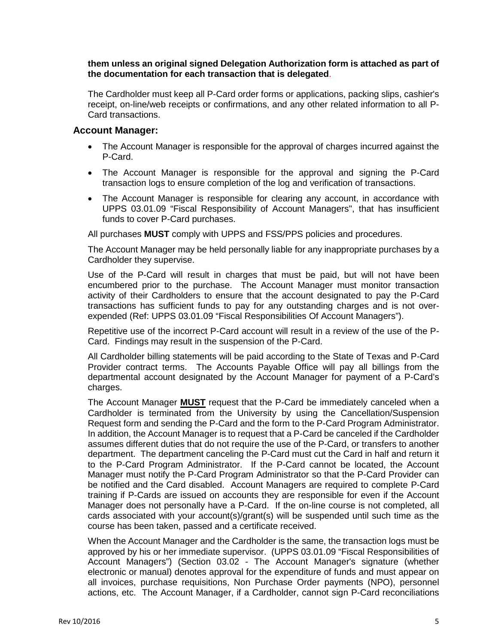#### **them unless an original signed Delegation Authorization form is attached as part of the documentation for each transaction that is delegated**.

The Cardholder must keep all P-Card order forms or applications, packing slips, cashier's receipt, on-line/web receipts or confirmations, and any other related information to all P-Card transactions.

#### **Account Manager:**

- The Account Manager is responsible for the approval of charges incurred against the P-Card.
- The Account Manager is responsible for the approval and signing the P-Card transaction logs to ensure completion of the log and verification of transactions.
- The Account Manager is responsible for clearing any account, in accordance with UPPS 03.01.09 "Fiscal Responsibility of Account Managers", that has insufficient funds to cover P-Card purchases.

All purchases **MUST** comply with UPPS and FSS/PPS policies and procedures.

The Account Manager may be held personally liable for any inappropriate purchases by a Cardholder they supervise.

Use of the P-Card will result in charges that must be paid, but will not have been encumbered prior to the purchase. The Account Manager must monitor transaction activity of their Cardholders to ensure that the account designated to pay the P-Card transactions has sufficient funds to pay for any outstanding charges and is not overexpended (Ref: UPPS 03.01.09 "Fiscal Responsibilities Of Account Managers").

Repetitive use of the incorrect P-Card account will result in a review of the use of the P-Card. Findings may result in the suspension of the P-Card.

All Cardholder billing statements will be paid according to the State of Texas and P-Card Provider contract terms. The Accounts Payable Office will pay all billings from the departmental account designated by the Account Manager for payment of a P-Card's charges.

The Account Manager **MUST** request that the P-Card be immediately canceled when a Cardholder is terminated from the University by using the Cancellation/Suspension Request form and sending the P-Card and the form to the P-Card Program Administrator. In addition, the Account Manager is to request that a P-Card be canceled if the Cardholder assumes different duties that do not require the use of the P-Card, or transfers to another department. The department canceling the P-Card must cut the Card in half and return it to the P-Card Program Administrator. If the P-Card cannot be located, the Account Manager must notify the P-Card Program Administrator so that the P-Card Provider can be notified and the Card disabled. Account Managers are required to complete P-Card training if P-Cards are issued on accounts they are responsible for even if the Account Manager does not personally have a P-Card. If the on-line course is not completed, all cards associated with your account(s)/grant(s) will be suspended until such time as the course has been taken, passed and a certificate received.

When the Account Manager and the Cardholder is the same, the transaction logs must be approved by his or her immediate supervisor. (UPPS 03.01.09 "Fiscal Responsibilities of Account Managers") (Section 03.02 - The Account Manager's signature (whether electronic or manual) denotes approval for the expenditure of funds and must appear on all invoices, purchase requisitions, Non Purchase Order payments (NPO), personnel actions, etc. The Account Manager, if a Cardholder, cannot sign P-Card reconciliations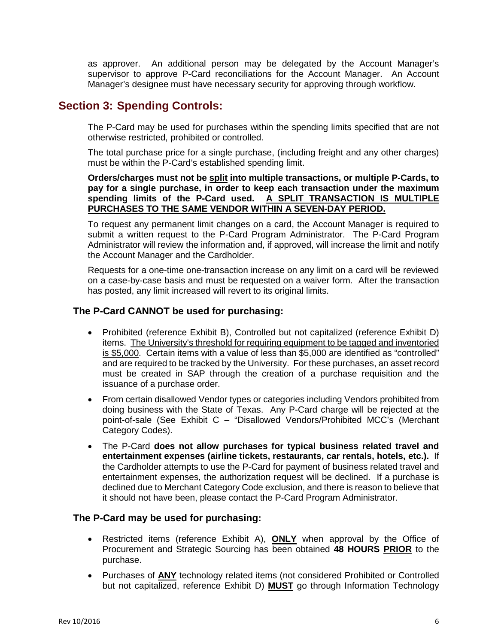as approver. An additional person may be delegated by the Account Manager's supervisor to approve P-Card reconciliations for the Account Manager. An Account Manager's designee must have necessary security for approving through workflow.

## **Section 3: Spending Controls:**

The P-Card may be used for purchases within the spending limits specified that are not otherwise restricted, prohibited or controlled.

The total purchase price for a single purchase, (including freight and any other charges) must be within the P-Card's established spending limit.

**Orders/charges must not be split into multiple transactions, or multiple P-Cards, to pay for a single purchase, in order to keep each transaction under the maximum spending limits of the P-Card used. A SPLIT TRANSACTION IS MULTIPLE PURCHASES TO THE SAME VENDOR WITHIN A SEVEN-DAY PERIOD.**

To request any permanent limit changes on a card, the Account Manager is required to submit a written request to the P-Card Program Administrator. The P-Card Program Administrator will review the information and, if approved, will increase the limit and notify the Account Manager and the Cardholder.

Requests for a one-time one-transaction increase on any limit on a card will be reviewed on a case-by-case basis and must be requested on a waiver form. After the transaction has posted, any limit increased will revert to its original limits.

#### **The P-Card CANNOT be used for purchasing:**

- Prohibited (reference Exhibit B), Controlled but not capitalized (reference Exhibit D) items. The University's threshold for requiring equipment to be tagged and inventoried is \$5,000. Certain items with a value of less than \$5,000 are identified as "controlled" and are required to be tracked by the University. For these purchases, an asset record must be created in SAP through the creation of a purchase requisition and the issuance of a purchase order.
- From certain disallowed Vendor types or categories including Vendors prohibited from doing business with the State of Texas. Any P-Card charge will be rejected at the point-of-sale (See Exhibit C – "Disallowed Vendors/Prohibited MCC's (Merchant Category Codes).
- The P-Card **does not allow purchases for typical business related travel and entertainment expenses (airline tickets, restaurants, car rentals, hotels, etc.).** If the Cardholder attempts to use the P-Card for payment of business related travel and entertainment expenses, the authorization request will be declined. If a purchase is declined due to Merchant Category Code exclusion, and there is reason to believe that it should not have been, please contact the P-Card Program Administrator.

#### **The P-Card may be used for purchasing:**

- Restricted items (reference Exhibit A), **ONLY** when approval by the Office of Procurement and Strategic Sourcing has been obtained **48 HOURS PRIOR** to the purchase.
- Purchases of **ANY** technology related items (not considered Prohibited or Controlled but not capitalized, reference Exhibit D) **MUST** go through Information Technology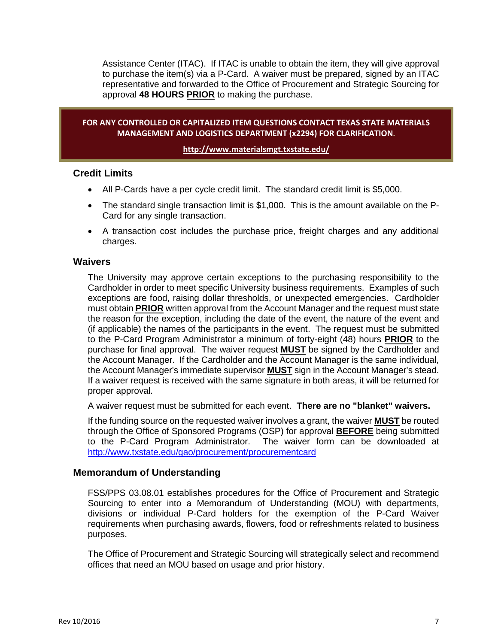Assistance Center (ITAC). If ITAC is unable to obtain the item, they will give approval to purchase the item(s) via a P-Card. A waiver must be prepared, signed by an ITAC representative and forwarded to the Office of Procurement and Strategic Sourcing for approval **48 HOURS PRIOR** to making the purchase.

#### **FOR ANY CONTROLLED OR CAPITALIZED ITEM QUESTIONS CONTACT TEXAS STATE MATERIALS MANAGEMENT AND LOGISTICS DEPARTMENT (x2294) FOR CLARIFICATION.**

#### **<http://www.materialsmgt.txstate.edu/>**

#### **Credit Limits**

- All P-Cards have a per cycle credit limit. The standard credit limit is \$5,000.
- The standard single transaction limit is \$1,000. This is the amount available on the P-Card for any single transaction.
- A transaction cost includes the purchase price, freight charges and any additional charges.

#### **Waivers**

The University may approve certain exceptions to the purchasing responsibility to the Cardholder in order to meet specific University business requirements. Examples of such exceptions are food, raising dollar thresholds, or unexpected emergencies. Cardholder must obtain **PRIOR** written approval from the Account Manager and the request must state the reason for the exception, including the date of the event, the nature of the event and (if applicable) the names of the participants in the event. The request must be submitted to the P-Card Program Administrator a minimum of forty-eight (48) hours **PRIOR** to the purchase for final approval. The waiver request **MUST** be signed by the Cardholder and the Account Manager. If the Cardholder and the Account Manager is the same individual, the Account Manager's immediate supervisor **MUST** sign in the Account Manager's stead. If a waiver request is received with the same signature in both areas, it will be returned for proper approval.

A waiver request must be submitted for each event. **There are no "blanket" waivers.**

If the funding source on the requested waiver involves a grant, the waiver **MUST** be routed through the Office of Sponsored Programs (OSP) for approval **BEFORE** being submitted to the P-Card Program Administrator. The waiver form can be downloaded at <http://www.txstate.edu/gao/procurement/procurementcard>

#### **Memorandum of Understanding**

FSS/PPS 03.08.01 establishes procedures for the Office of Procurement and Strategic Sourcing to enter into a Memorandum of Understanding (MOU) with departments, divisions or individual P-Card holders for the exemption of the P-Card Waiver requirements when purchasing awards, flowers, food or refreshments related to business purposes.

The Office of Procurement and Strategic Sourcing will strategically select and recommend offices that need an MOU based on usage and prior history.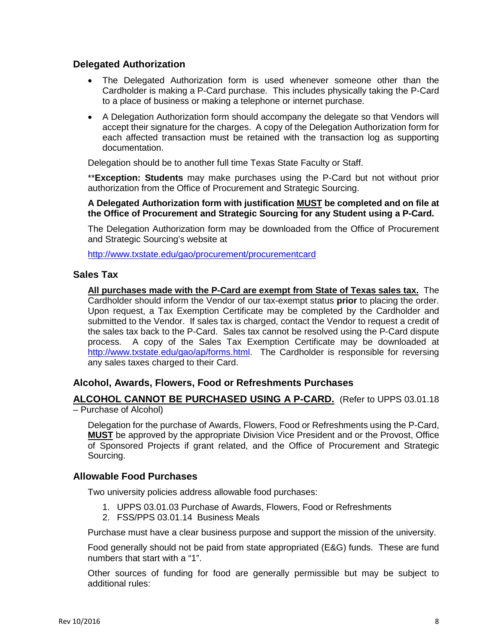#### **Delegated Authorization**

- The Delegated Authorization form is used whenever someone other than the Cardholder is making a P-Card purchase. This includes physically taking the P-Card to a place of business or making a telephone or internet purchase.
- A Delegation Authorization form should accompany the delegate so that Vendors will accept their signature for the charges. A copy of the Delegation Authorization form for each affected transaction must be retained with the transaction log as supporting documentation.

Delegation should be to another full time Texas State Faculty or Staff.

\*\***Exception: Students** may make purchases using the P-Card but not without prior authorization from the Office of Procurement and Strategic Sourcing.

**A Delegated Authorization form with justification MUST be completed and on file at the Office of Procurement and Strategic Sourcing for any Student using a P-Card.**

The Delegation Authorization form may be downloaded from the Office of Procurement and Strategic Sourcing's website at

<http://www.txstate.edu/gao/procurement/procurementcard>

## **Sales Tax**

**All purchases made with the P-Card are exempt from State of Texas sales tax.** The Cardholder should inform the Vendor of our tax-exempt status **prior** to placing the order. Upon request, a Tax Exemption Certificate may be completed by the Cardholder and submitted to the Vendor. If sales tax is charged, contact the Vendor to request a credit of the sales tax back to the P-Card. Sales tax cannot be resolved using the P-Card dispute process. A copy of the Sales Tax Exemption Certificate may be downloaded at [http://www.txstate.edu/gao/ap/forms.html.](http://www.txstate.edu/gao/ap/forms.html) The Cardholder is responsible for reversing any sales taxes charged to their Card.

## **Alcohol, Awards, Flowers, Food or Refreshments Purchases**

**ALCOHOL CANNOT BE PURCHASED USING A P-CARD.** (Refer to UPPS 03.01.18 – Purchase of Alcohol)

Delegation for the purchase of Awards, Flowers, Food or Refreshments using the P-Card, **MUST** be approved by the appropriate Division Vice President and or the Provost, Office of Sponsored Projects if grant related, and the Office of Procurement and Strategic Sourcing.

#### **Allowable Food Purchases**

Two university policies address allowable food purchases:

- 1. UPPS 03.01.03 Purchase of Awards, Flowers, Food or Refreshments
- 2. FSS/PPS 03.01.14 Business Meals

Purchase must have a clear business purpose and support the mission of the university.

Food generally should not be paid from state appropriated (E&G) funds. These are fund numbers that start with a "1".

Other sources of funding for food are generally permissible but may be subject to additional rules: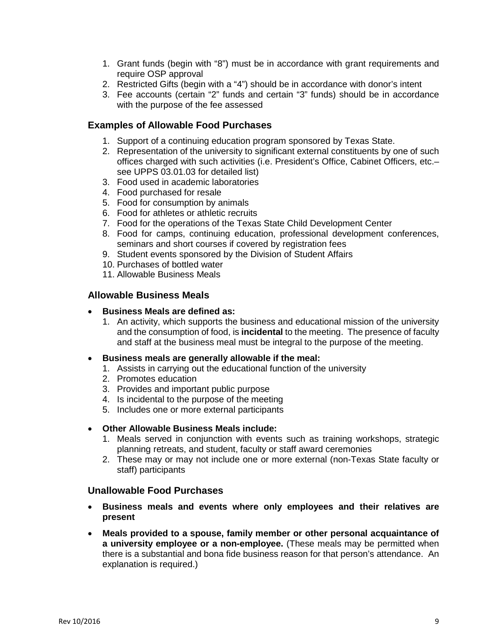- 1. Grant funds (begin with "8") must be in accordance with grant requirements and require OSP approval
- 2. Restricted Gifts (begin with a "4") should be in accordance with donor's intent
- 3. Fee accounts (certain "2" funds and certain "3" funds) should be in accordance with the purpose of the fee assessed

#### **Examples of Allowable Food Purchases**

- 1. Support of a continuing education program sponsored by Texas State.
- 2. Representation of the university to significant external constituents by one of such offices charged with such activities (i.e. President's Office, Cabinet Officers, etc.– see UPPS 03.01.03 for detailed list)
- 3. Food used in academic laboratories
- 4. Food purchased for resale
- 5. Food for consumption by animals
- 6. Food for athletes or athletic recruits
- 7. Food for the operations of the Texas State Child Development Center
- 8. Food for camps, continuing education, professional development conferences, seminars and short courses if covered by registration fees
- 9. Student events sponsored by the Division of Student Affairs
- 10. Purchases of bottled water
- 11. Allowable Business Meals

#### **Allowable Business Meals**

- **Business Meals are defined as:**
	- 1. An activity, which supports the business and educational mission of the university and the consumption of food, is **incidental** to the meeting. The presence of faculty and staff at the business meal must be integral to the purpose of the meeting.
- **Business meals are generally allowable if the meal:**
	- 1. Assists in carrying out the educational function of the university
	- 2. Promotes education
	- 3. Provides and important public purpose
	- 4. Is incidental to the purpose of the meeting
	- 5. Includes one or more external participants

#### • **Other Allowable Business Meals include:**

- 1. Meals served in conjunction with events such as training workshops, strategic planning retreats, and student, faculty or staff award ceremonies
- 2. These may or may not include one or more external (non-Texas State faculty or staff) participants

#### **Unallowable Food Purchases**

- **Business meals and events where only employees and their relatives are present**
- **Meals provided to a spouse, family member or other personal acquaintance of a university employee or a non-employee.** (These meals may be permitted when there is a substantial and bona fide business reason for that person's attendance. An explanation is required.)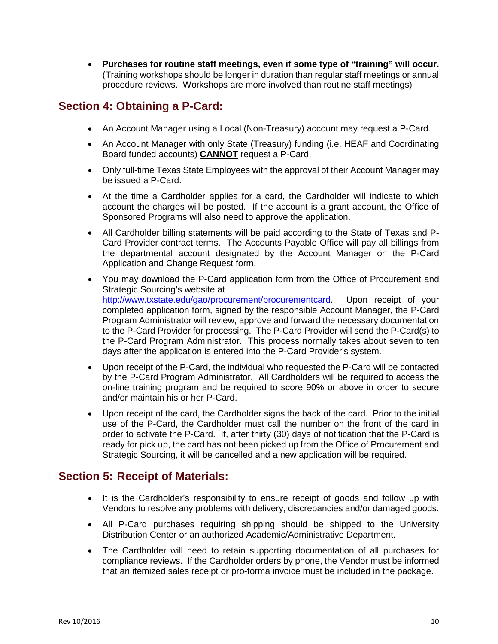• **Purchases for routine staff meetings, even if some type of "training" will occur.**  (Training workshops should be longer in duration than regular staff meetings or annual procedure reviews. Workshops are more involved than routine staff meetings)

# **Section 4: Obtaining a P-Card:**

- An Account Manager using a Local (Non-Treasury) account may request a P-Card*.*
- An Account Manager with only State (Treasury) funding (i.e. HEAF and Coordinating Board funded accounts) **CANNOT** request a P-Card.
- Only full-time Texas State Employees with the approval of their Account Manager may be issued a P-Card.
- At the time a Cardholder applies for a card, the Cardholder will indicate to which account the charges will be posted. If the account is a grant account, the Office of Sponsored Programs will also need to approve the application.
- All Cardholder billing statements will be paid according to the State of Texas and P-Card Provider contract terms. The Accounts Payable Office will pay all billings from the departmental account designated by the Account Manager on the P-Card Application and Change Request form.
- You may download the P-Card application form from the Office of Procurement and Strategic Sourcing's website at [http://www.txstate.edu/gao/procurement/procurementcard.](http://www.txstate.edu/gao/procurement/procurementcard) Upon receipt of your completed application form, signed by the responsible Account Manager, the P-Card Program Administrator will review, approve and forward the necessary documentation to the P-Card Provider for processing. The P-Card Provider will send the P-Card(s) to the P-Card Program Administrator. This process normally takes about seven to ten days after the application is entered into the P-Card Provider's system.
- Upon receipt of the P-Card, the individual who requested the P-Card will be contacted by the P-Card Program Administrator. All Cardholders will be required to access the on-line training program and be required to score 90% or above in order to secure and/or maintain his or her P-Card.
- Upon receipt of the card, the Cardholder signs the back of the card. Prior to the initial use of the P-Card, the Cardholder must call the number on the front of the card in order to activate the P-Card. If, after thirty (30) days of notification that the P-Card is ready for pick up, the card has not been picked up from the Office of Procurement and Strategic Sourcing, it will be cancelled and a new application will be required.

# **Section 5: Receipt of Materials:**

- It is the Cardholder's responsibility to ensure receipt of goods and follow up with Vendors to resolve any problems with delivery, discrepancies and/or damaged goods.
- All P-Card purchases requiring shipping should be shipped to the University Distribution Center or an authorized Academic/Administrative Department.
- The Cardholder will need to retain supporting documentation of all purchases for compliance reviews. If the Cardholder orders by phone, the Vendor must be informed that an itemized sales receipt or pro-forma invoice must be included in the package.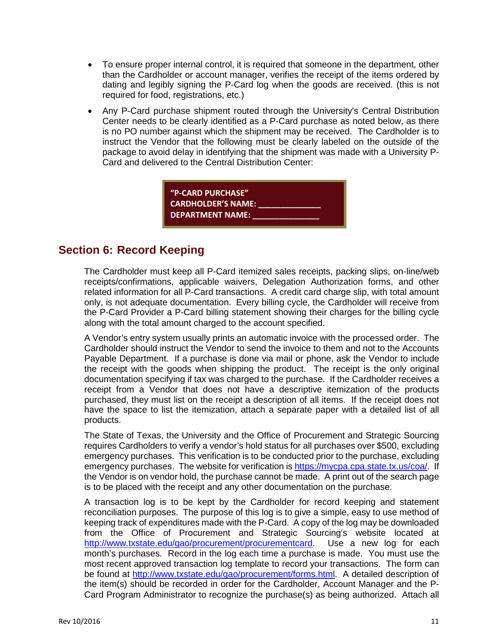- To ensure proper internal control, it is required that someone in the department, other than the Cardholder or account manager, verifies the receipt of the items ordered by dating and legibly signing the P-Card log when the goods are received. (this is not required for food, registrations, etc.)
- Any P-Card purchase shipment routed through the University's Central Distribution Center needs to be clearly identified as a P-Card purchase as noted below, as there is no PO number against which the shipment may be received. The Cardholder is to instruct the Vendor that the following must be clearly labeled on the outside of the package to avoid delay in identifying that the shipment was made with a University P-Card and delivered to the Central Distribution Center:



# **Section 6: Record Keeping**

The Cardholder must keep all P-Card itemized sales receipts, packing slips, on-line/web receipts/confirmations, applicable waivers, Delegation Authorization forms, and other related information for all P-Card transactions. A credit card charge slip, with total amount only, is not adequate documentation. Every billing cycle, the Cardholder will receive from the P-Card Provider a P-Card billing statement showing their charges for the billing cycle along with the total amount charged to the account specified.

A Vendor's entry system usually prints an automatic invoice with the processed order. The Cardholder should instruct the Vendor to send the invoice to them and not to the Accounts Payable Department. If a purchase is done via mail or phone, ask the Vendor to include the receipt with the goods when shipping the product. The receipt is the only original documentation specifying if tax was charged to the purchase. If the Cardholder receives a receipt from a Vendor that does not have a descriptive itemization of the products purchased, they must list on the receipt a description of all items. If the receipt does not have the space to list the itemization, attach a separate paper with a detailed list of all products.

The State of Texas, the University and the Office of Procurement and Strategic Sourcing requires Cardholders to verify a vendor's hold status for all purchases over \$500, excluding emergency purchases. This verification is to be conducted prior to the purchase, excluding emergency purchases. The website for verification is [https://mycpa.cpa.state.tx.us/coa/.](https://mycpa.cpa.state.tx.us/coa/) If the Vendor is on vendor hold, the purchase cannot be made. A print out of the search page is to be placed with the receipt and any other documentation on the purchase.

A transaction log is to be kept by the Cardholder for record keeping and statement reconciliation purposes. The purpose of this log is to give a simple, easy to use method of keeping track of expenditures made with the P-Card. A copy of the log may be downloaded from the Office of Procurement and Strategic Sourcing's website located at [http://www.txstate.edu/gao/procurement/procurementcard.](http://www.txstate.edu/gao/procurement/procurementcard) Use a new log for each month's purchases. Record in the log each time a purchase is made. You must use the most recent approved transaction log template to record your transactions. The form can be found at [http://www.txstate.edu/gao/procurement/forms.html.](http://www.txstate.edu/gao/procurement/forms.html) A detailed description of the item(s) should be recorded in order for the Cardholder, Account Manager and the P-Card Program Administrator to recognize the purchase(s) as being authorized. Attach all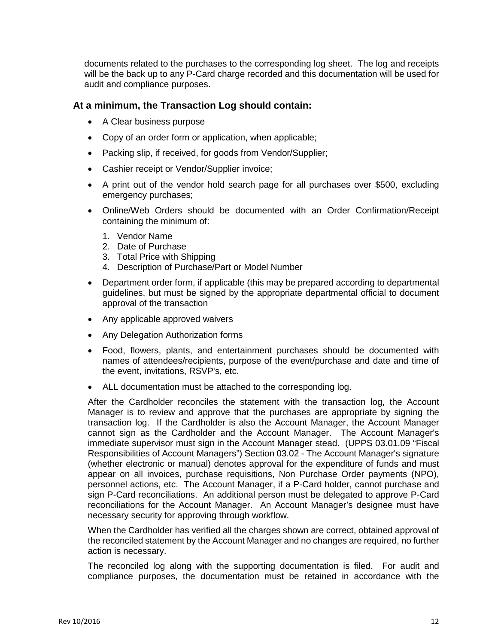documents related to the purchases to the corresponding log sheet. The log and receipts will be the back up to any P-Card charge recorded and this documentation will be used for audit and compliance purposes.

### **At a minimum, the Transaction Log should contain:**

- A Clear business purpose
- Copy of an order form or application, when applicable;
- Packing slip, if received, for goods from Vendor/Supplier;
- Cashier receipt or Vendor/Supplier invoice;
- A print out of the vendor hold search page for all purchases over \$500, excluding emergency purchases;
- Online/Web Orders should be documented with an Order Confirmation/Receipt containing the minimum of:
	- 1. Vendor Name
	- 2. Date of Purchase
	- 3. Total Price with Shipping
	- 4. Description of Purchase/Part or Model Number
- Department order form, if applicable (this may be prepared according to departmental guidelines, but must be signed by the appropriate departmental official to document approval of the transaction
- Any applicable approved waivers
- Any Delegation Authorization forms
- Food, flowers, plants, and entertainment purchases should be documented with names of attendees/recipients, purpose of the event/purchase and date and time of the event, invitations, RSVP's, etc.
- ALL documentation must be attached to the corresponding log.

After the Cardholder reconciles the statement with the transaction log, the Account Manager is to review and approve that the purchases are appropriate by signing the transaction log. If the Cardholder is also the Account Manager, the Account Manager cannot sign as the Cardholder and the Account Manager. The Account Manager's immediate supervisor must sign in the Account Manager stead. (UPPS 03.01.09 "Fiscal Responsibilities of Account Managers") Section 03.02 - The Account Manager's signature (whether electronic or manual) denotes approval for the expenditure of funds and must appear on all invoices, purchase requisitions, Non Purchase Order payments (NPO), personnel actions, etc. The Account Manager, if a P-Card holder, cannot purchase and sign P-Card reconciliations. An additional person must be delegated to approve P-Card reconciliations for the Account Manager. An Account Manager's designee must have necessary security for approving through workflow.

When the Cardholder has verified all the charges shown are correct, obtained approval of the reconciled statement by the Account Manager and no changes are required, no further action is necessary.

The reconciled log along with the supporting documentation is filed. For audit and compliance purposes, the documentation must be retained in accordance with the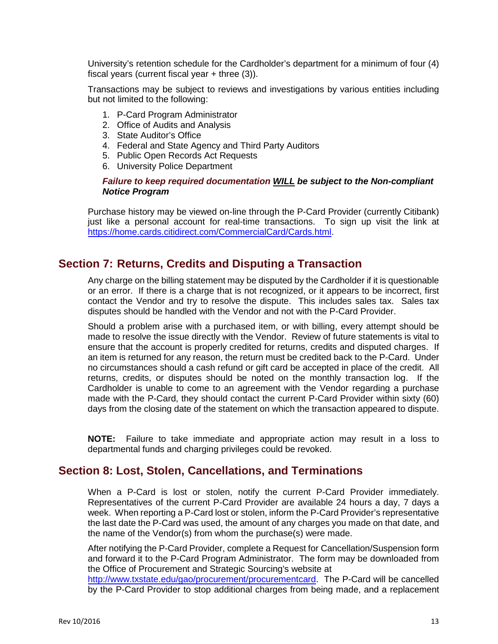University's retention schedule for the Cardholder's department for a minimum of four (4) fiscal years (current fiscal year + three (3)).

Transactions may be subject to reviews and investigations by various entities including but not limited to the following:

- 1. P-Card Program Administrator
- 2. Office of Audits and Analysis
- 3. State Auditor's Office
- 4. Federal and State Agency and Third Party Auditors
- 5. Public Open Records Act Requests
- 6. University Police Department

#### *Failure to keep required documentation WILL be subject to the Non-compliant Notice Program*

Purchase history may be viewed on-line through the P-Card Provider (currently Citibank) just like a personal account for real-time transactions. To sign up visit the link at [https://home.cards.citidirect.com/CommercialCard/Cards.html.](https://home.cards.citidirect.com/CommercialCard/Cards.html)

## **Section 7: Returns, Credits and Disputing a Transaction**

Any charge on the billing statement may be disputed by the Cardholder if it is questionable or an error. If there is a charge that is not recognized, or it appears to be incorrect, first contact the Vendor and try to resolve the dispute. This includes sales tax. Sales tax disputes should be handled with the Vendor and not with the P-Card Provider.

Should a problem arise with a purchased item, or with billing, every attempt should be made to resolve the issue directly with the Vendor. Review of future statements is vital to ensure that the account is properly credited for returns, credits and disputed charges. If an item is returned for any reason, the return must be credited back to the P-Card. Under no circumstances should a cash refund or gift card be accepted in place of the credit. All returns, credits, or disputes should be noted on the monthly transaction log. If the Cardholder is unable to come to an agreement with the Vendor regarding a purchase made with the P-Card, they should contact the current P-Card Provider within sixty (60) days from the closing date of the statement on which the transaction appeared to dispute.

**NOTE:** Failure to take immediate and appropriate action may result in a loss to departmental funds and charging privileges could be revoked.

## **Section 8: Lost, Stolen, Cancellations, and Terminations**

When a P-Card is lost or stolen, notify the current P-Card Provider immediately. Representatives of the current P-Card Provider are available 24 hours a day, 7 days a week. When reporting a P-Card lost or stolen, inform the P-Card Provider's representative the last date the P-Card was used, the amount of any charges you made on that date, and the name of the Vendor(s) from whom the purchase(s) were made.

After notifying the P-Card Provider, complete a Request for Cancellation/Suspension form and forward it to the P-Card Program Administrator. The form may be downloaded from the Office of Procurement and Strategic Sourcing's website at [http://www.txstate.edu/gao/procurement/procurementcard.](http://www.txstate.edu/gao/procurement/procurementcard) The P-Card will be cancelled by the P-Card Provider to stop additional charges from being made, and a replacement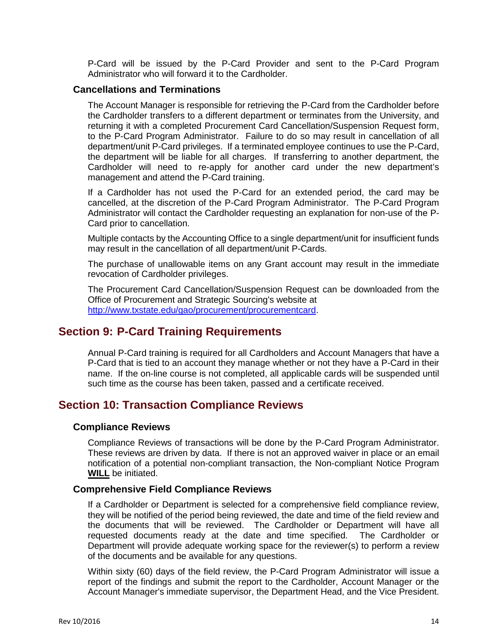P-Card will be issued by the P-Card Provider and sent to the P-Card Program Administrator who will forward it to the Cardholder.

#### **Cancellations and Terminations**

The Account Manager is responsible for retrieving the P-Card from the Cardholder before the Cardholder transfers to a different department or terminates from the University, and returning it with a completed Procurement Card Cancellation/Suspension Request form, to the P-Card Program Administrator. Failure to do so may result in cancellation of all department/unit P-Card privileges. If a terminated employee continues to use the P-Card, the department will be liable for all charges. If transferring to another department, the Cardholder will need to re-apply for another card under the new department's management and attend the P-Card training.

If a Cardholder has not used the P-Card for an extended period, the card may be cancelled, at the discretion of the P-Card Program Administrator. The P-Card Program Administrator will contact the Cardholder requesting an explanation for non-use of the P-Card prior to cancellation.

Multiple contacts by the Accounting Office to a single department/unit for insufficient funds may result in the cancellation of all department/unit P-Cards.

The purchase of unallowable items on any Grant account may result in the immediate revocation of Cardholder privileges.

The Procurement Card Cancellation/Suspension Request can be downloaded from the Office of Procurement and Strategic Sourcing's website at [http://www.txstate.edu/gao/procurement/procurementcard.](http://www.txstate.edu/gao/procurement/procurementcard)

## **Section 9: P-Card Training Requirements**

Annual P-Card training is required for all Cardholders and Account Managers that have a P-Card that is tied to an account they manage whether or not they have a P-Card in their name. If the on-line course is not completed, all applicable cards will be suspended until such time as the course has been taken, passed and a certificate received.

## **Section 10: Transaction Compliance Reviews**

#### **Compliance Reviews**

Compliance Reviews of transactions will be done by the P-Card Program Administrator. These reviews are driven by data. If there is not an approved waiver in place or an email notification of a potential non-compliant transaction, the Non-compliant Notice Program **WILL** be initiated.

#### **Comprehensive Field Compliance Reviews**

If a Cardholder or Department is selected for a comprehensive field compliance review, they will be notified of the period being reviewed, the date and time of the field review and the documents that will be reviewed. The Cardholder or Department will have all requested documents ready at the date and time specified. The Cardholder or Department will provide adequate working space for the reviewer(s) to perform a review of the documents and be available for any questions.

Within sixty (60) days of the field review, the P-Card Program Administrator will issue a report of the findings and submit the report to the Cardholder, Account Manager or the Account Manager's immediate supervisor, the Department Head, and the Vice President.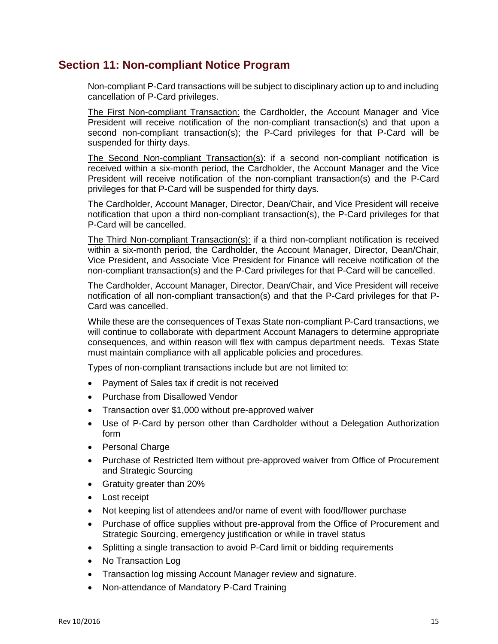## **Section 11: Non-compliant Notice Program**

Non-compliant P-Card transactions will be subject to disciplinary action up to and including cancellation of P-Card privileges.

The First Non-compliant Transaction: the Cardholder, the Account Manager and Vice President will receive notification of the non-compliant transaction(s) and that upon a second non-compliant transaction(s); the P-Card privileges for that P-Card will be suspended for thirty days.

The Second Non-compliant Transaction(s): if a second non-compliant notification is received within a six-month period, the Cardholder, the Account Manager and the Vice President will receive notification of the non-compliant transaction(s) and the P-Card privileges for that P-Card will be suspended for thirty days.

The Cardholder, Account Manager, Director, Dean/Chair, and Vice President will receive notification that upon a third non-compliant transaction(s), the P-Card privileges for that P-Card will be cancelled.

The Third Non-compliant Transaction(s): if a third non-compliant notification is received within a six-month period, the Cardholder, the Account Manager, Director, Dean/Chair, Vice President, and Associate Vice President for Finance will receive notification of the non-compliant transaction(s) and the P-Card privileges for that P-Card will be cancelled.

The Cardholder, Account Manager, Director, Dean/Chair, and Vice President will receive notification of all non-compliant transaction(s) and that the P-Card privileges for that P-Card was cancelled.

While these are the consequences of Texas State non-compliant P-Card transactions, we will continue to collaborate with department Account Managers to determine appropriate consequences, and within reason will flex with campus department needs. Texas State must maintain compliance with all applicable policies and procedures.

Types of non-compliant transactions include but are not limited to:

- Payment of Sales tax if credit is not received
- Purchase from Disallowed Vendor
- Transaction over \$1,000 without pre-approved waiver
- Use of P-Card by person other than Cardholder without a Delegation Authorization form
- Personal Charge
- Purchase of Restricted Item without pre-approved waiver from Office of Procurement and Strategic Sourcing
- Gratuity greater than 20%
- Lost receipt
- Not keeping list of attendees and/or name of event with food/flower purchase
- Purchase of office supplies without pre-approval from the Office of Procurement and Strategic Sourcing, emergency justification or while in travel status
- Splitting a single transaction to avoid P-Card limit or bidding requirements
- No Transaction Log
- Transaction log missing Account Manager review and signature.
- Non-attendance of Mandatory P-Card Training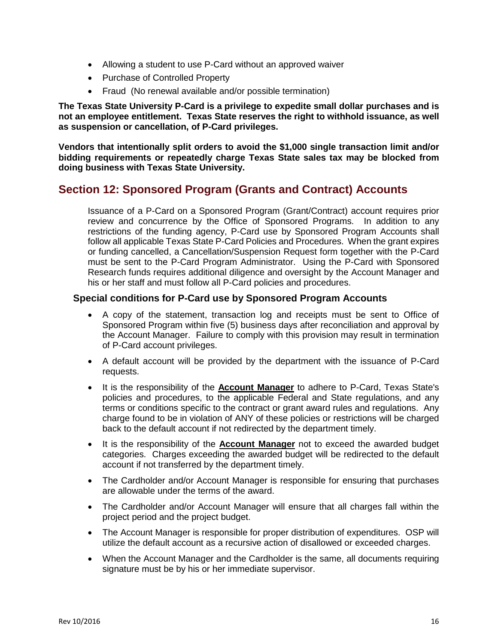- Allowing a student to use P-Card without an approved waiver
- Purchase of Controlled Property
- Fraud (No renewal available and/or possible termination)

**The Texas State University P-Card is a privilege to expedite small dollar purchases and is not an employee entitlement. Texas State reserves the right to withhold issuance, as well as suspension or cancellation, of P-Card privileges.** 

**Vendors that intentionally split orders to avoid the \$1,000 single transaction limit and/or bidding requirements or repeatedly charge Texas State sales tax may be blocked from doing business with Texas State University.** 

## **Section 12: Sponsored Program (Grants and Contract) Accounts**

Issuance of a P-Card on a Sponsored Program (Grant/Contract) account requires prior review and concurrence by the Office of Sponsored Programs. In addition to any restrictions of the funding agency, P-Card use by Sponsored Program Accounts shall follow all applicable Texas State P-Card Policies and Procedures. When the grant expires or funding cancelled, a Cancellation/Suspension Request form together with the P-Card must be sent to the P-Card Program Administrator. Using the P-Card with Sponsored Research funds requires additional diligence and oversight by the Account Manager and his or her staff and must follow all P-Card policies and procedures.

#### **Special conditions for P-Card use by Sponsored Program Accounts**

- A copy of the statement, transaction log and receipts must be sent to Office of Sponsored Program within five (5) business days after reconciliation and approval by the Account Manager. Failure to comply with this provision may result in termination of P-Card account privileges.
- A default account will be provided by the department with the issuance of P-Card requests.
- It is the responsibility of the **Account Manager** to adhere to P-Card, Texas State's policies and procedures, to the applicable Federal and State regulations, and any terms or conditions specific to the contract or grant award rules and regulations. Any charge found to be in violation of ANY of these policies or restrictions will be charged back to the default account if not redirected by the department timely.
- It is the responsibility of the **Account Manager** not to exceed the awarded budget categories. Charges exceeding the awarded budget will be redirected to the default account if not transferred by the department timely.
- The Cardholder and/or Account Manager is responsible for ensuring that purchases are allowable under the terms of the award.
- The Cardholder and/or Account Manager will ensure that all charges fall within the project period and the project budget.
- The Account Manager is responsible for proper distribution of expenditures. OSP will utilize the default account as a recursive action of disallowed or exceeded charges.
- When the Account Manager and the Cardholder is the same, all documents requiring signature must be by his or her immediate supervisor.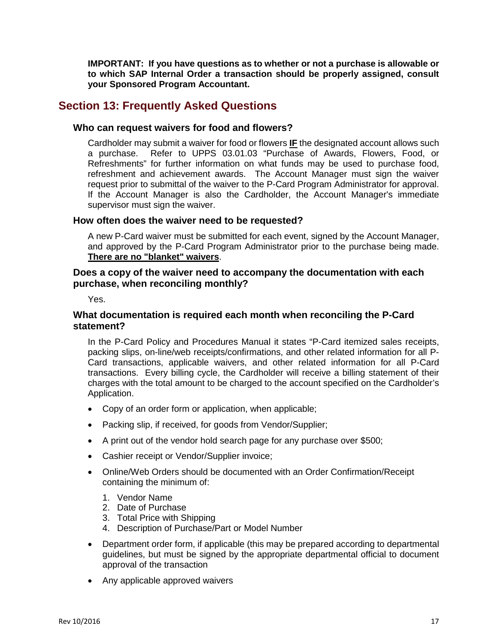**IMPORTANT: If you have questions as to whether or not a purchase is allowable or to which SAP Internal Order a transaction should be properly assigned, consult your Sponsored Program Accountant.**

## **Section 13: Frequently Asked Questions**

#### **Who can request waivers for food and flowers?**

Cardholder may submit a waiver for food or flowers **IF** the designated account allows such a purchase. Refer to UPPS 03.01.03 "Purchase of Awards, Flowers, Food, or Refreshments" for further information on what funds may be used to purchase food, refreshment and achievement awards. The Account Manager must sign the waiver request prior to submittal of the waiver to the P-Card Program Administrator for approval. If the Account Manager is also the Cardholder, the Account Manager's immediate supervisor must sign the waiver.

#### **How often does the waiver need to be requested?**

A new P-Card waiver must be submitted for each event, signed by the Account Manager, and approved by the P-Card Program Administrator prior to the purchase being made. **There are no "blanket" waivers**.

#### **Does a copy of the waiver need to accompany the documentation with each purchase, when reconciling monthly?**

Yes.

#### **What documentation is required each month when reconciling the P-Card statement?**

In the P-Card Policy and Procedures Manual it states "P-Card itemized sales receipts, packing slips, on-line/web receipts/confirmations, and other related information for all P-Card transactions, applicable waivers, and other related information for all P-Card transactions. Every billing cycle, the Cardholder will receive a billing statement of their charges with the total amount to be charged to the account specified on the Cardholder's Application.

- Copy of an order form or application, when applicable;
- Packing slip, if received, for goods from Vendor/Supplier;
- A print out of the vendor hold search page for any purchase over \$500;
- Cashier receipt or Vendor/Supplier invoice;
- Online/Web Orders should be documented with an Order Confirmation/Receipt containing the minimum of:
	- 1. Vendor Name
	- 2. Date of Purchase
	- 3. Total Price with Shipping
	- 4. Description of Purchase/Part or Model Number
- Department order form, if applicable (this may be prepared according to departmental guidelines, but must be signed by the appropriate departmental official to document approval of the transaction
- Any applicable approved waivers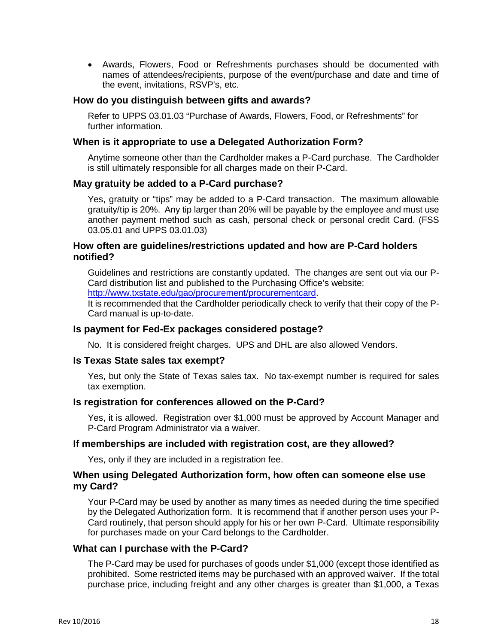• Awards, Flowers, Food or Refreshments purchases should be documented with names of attendees/recipients, purpose of the event/purchase and date and time of the event, invitations, RSVP's, etc.

#### **How do you distinguish between gifts and awards?**

Refer to UPPS 03.01.03 "Purchase of Awards, Flowers, Food, or Refreshments" for further information.

#### **When is it appropriate to use a Delegated Authorization Form?**

Anytime someone other than the Cardholder makes a P-Card purchase. The Cardholder is still ultimately responsible for all charges made on their P-Card.

#### **May gratuity be added to a P-Card purchase?**

Yes, gratuity or "tips" may be added to a P-Card transaction. The maximum allowable gratuity/tip is 20%. Any tip larger than 20% will be payable by the employee and must use another payment method such as cash, personal check or personal credit Card. (FSS 03.05.01 and UPPS 03.01.03)

#### **How often are guidelines/restrictions updated and how are P-Card holders notified?**

Guidelines and restrictions are constantly updated. The changes are sent out via our P-Card distribution list and published to the Purchasing Office's website:

[http://www.txstate.edu/gao/procurement/procurementcard.](http://www.txstate.edu/gao/procurement/procurementcard)

It is recommended that the Cardholder periodically check to verify that their copy of the P-Card manual is up-to-date.

#### **Is payment for Fed-Ex packages considered postage?**

No. It is considered freight charges. UPS and DHL are also allowed Vendors.

#### **Is Texas State sales tax exempt?**

Yes, but only the State of Texas sales tax. No tax-exempt number is required for sales tax exemption.

#### **Is registration for conferences allowed on the P-Card?**

Yes, it is allowed. Registration over \$1,000 must be approved by Account Manager and P-Card Program Administrator via a waiver.

#### **If memberships are included with registration cost, are they allowed?**

Yes, only if they are included in a registration fee.

#### **When using Delegated Authorization form, how often can someone else use my Card?**

Your P-Card may be used by another as many times as needed during the time specified by the Delegated Authorization form. It is recommend that if another person uses your P-Card routinely, that person should apply for his or her own P-Card. Ultimate responsibility for purchases made on your Card belongs to the Cardholder.

#### **What can I purchase with the P-Card?**

The P-Card may be used for purchases of goods under \$1,000 (except those identified as prohibited. Some restricted items may be purchased with an approved waiver. If the total purchase price, including freight and any other charges is greater than \$1,000, a Texas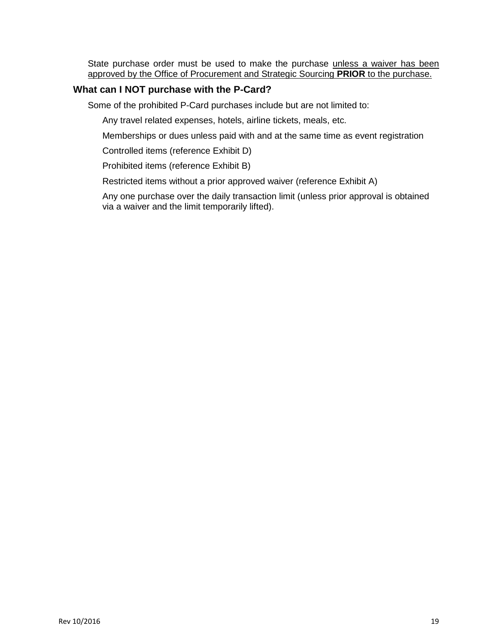State purchase order must be used to make the purchase unless a waiver has been approved by the Office of Procurement and Strategic Sourcing **PRIOR** to the purchase.

#### **What can I NOT purchase with the P-Card?**

Some of the prohibited P-Card purchases include but are not limited to:

Any travel related expenses, hotels, airline tickets, meals, etc.

Memberships or dues unless paid with and at the same time as event registration

Controlled items (reference Exhibit D)

Prohibited items (reference Exhibit B)

Restricted items without a prior approved waiver (reference Exhibit A)

Any one purchase over the daily transaction limit (unless prior approval is obtained via a waiver and the limit temporarily lifted).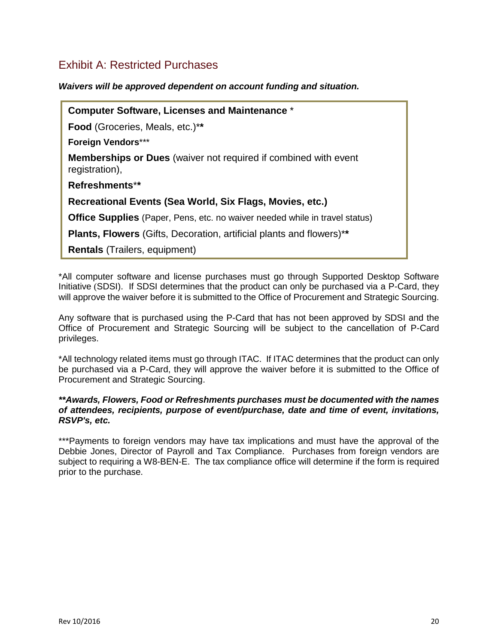## Exhibit A: Restricted Purchases

*Waivers will be approved dependent on account funding and situation.*

**Computer Software, Licenses and Maintenance** \* **Food** (Groceries, Meals, etc.)\***\* Foreign Vendors**\*\*\* **Memberships or Dues** (waiver not required if combined with event registration), **Refreshments**\***\* Recreational Events (Sea World, Six Flags, Movies, etc.) Office Supplies** (Paper, Pens, etc. no waiver needed while in travel status) **Plants, Flowers** (Gifts, Decoration, artificial plants and flowers)\***\* Rentals** (Trailers, equipment)

\*All computer software and license purchases must go through Supported Desktop Software Initiative (SDSI). If SDSI determines that the product can only be purchased via a P-Card, they will approve the waiver before it is submitted to the Office of Procurement and Strategic Sourcing.

Any software that is purchased using the P-Card that has not been approved by SDSI and the Office of Procurement and Strategic Sourcing will be subject to the cancellation of P-Card privileges.

\*All technology related items must go through ITAC. If ITAC determines that the product can only be purchased via a P-Card, they will approve the waiver before it is submitted to the Office of Procurement and Strategic Sourcing.

#### *\*\*Awards, Flowers, Food or Refreshments purchases must be documented with the names of attendees, recipients, purpose of event/purchase, date and time of event, invitations, RSVP's, etc.*

\*\*\*Payments to foreign vendors may have tax implications and must have the approval of the Debbie Jones, Director of Payroll and Tax Compliance. Purchases from foreign vendors are subject to requiring a W8-BEN-E. The tax compliance office will determine if the form is required prior to the purchase.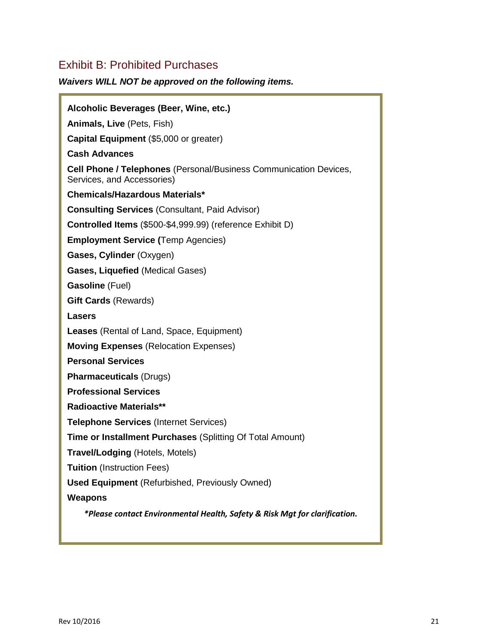# Exhibit B: Prohibited Purchases

## *Waivers WILL NOT be approved on the following items.*

| Alcoholic Beverages (Beer, Wine, etc.)                                                                 |
|--------------------------------------------------------------------------------------------------------|
| Animals, Live (Pets, Fish)                                                                             |
| Capital Equipment (\$5,000 or greater)                                                                 |
| <b>Cash Advances</b>                                                                                   |
| <b>Cell Phone / Telephones</b> (Personal/Business Communication Devices,<br>Services, and Accessories) |
| Chemicals/Hazardous Materials*                                                                         |
| <b>Consulting Services (Consultant, Paid Advisor)</b>                                                  |
| Controlled Items (\$500-\$4,999.99) (reference Exhibit D)                                              |
| <b>Employment Service (Temp Agencies)</b>                                                              |
| Gases, Cylinder (Oxygen)                                                                               |
| Gases, Liquefied (Medical Gases)                                                                       |
| Gasoline (Fuel)                                                                                        |
| <b>Gift Cards (Rewards)</b>                                                                            |
| Lasers                                                                                                 |
| <b>Leases</b> (Rental of Land, Space, Equipment)                                                       |
| <b>Moving Expenses</b> (Relocation Expenses)                                                           |
| <b>Personal Services</b>                                                                               |
| <b>Pharmaceuticals (Drugs)</b>                                                                         |
| <b>Professional Services</b>                                                                           |
| <b>Radioactive Materials**</b>                                                                         |
| <b>Telephone Services (Internet Services)</b>                                                          |
| <b>Time or Installment Purchases (Splitting Of Total Amount)</b>                                       |
| <b>Travel/Lodging (Hotels, Motels)</b>                                                                 |
| <b>Tuition</b> (Instruction Fees)                                                                      |
| <b>Used Equipment</b> (Refurbished, Previously Owned)                                                  |
| <b>Weapons</b>                                                                                         |
| *Please contact Environmental Health, Safety & Risk Mgt for clarification.                             |
|                                                                                                        |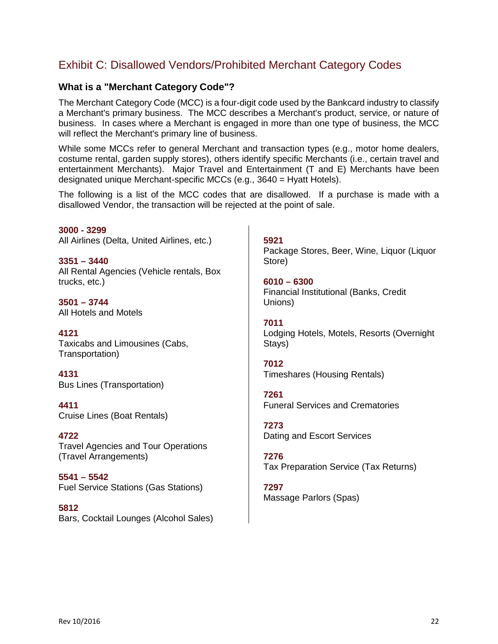# Exhibit C: Disallowed Vendors/Prohibited Merchant Category Codes

## **What is a "Merchant Category Code"?**

The Merchant Category Code (MCC) is a four-digit code used by the Bankcard industry to classify a Merchant's primary business. The MCC describes a Merchant's product, service, or nature of business. In cases where a Merchant is engaged in more than one type of business, the MCC will reflect the Merchant's primary line of business.

While some MCCs refer to general Merchant and transaction types (e.g., motor home dealers, costume rental, garden supply stores), others identify specific Merchants (i.e., certain travel and entertainment Merchants). Major Travel and Entertainment (T and E) Merchants have been designated unique Merchant-specific MCCs (e.g., 3640 = Hyatt Hotels).

The following is a list of the MCC codes that are disallowed. If a purchase is made with a disallowed Vendor, the transaction will be rejected at the point of sale.

**3000 - 3299**  All Airlines (Delta, United Airlines, etc.)

**3351 – 3440**  All Rental Agencies (Vehicle rentals, Box trucks, etc.)

**3501 – 3744** All Hotels and Motels

**4121**  Taxicabs and Limousines (Cabs, Transportation)

**4131** Bus Lines (Transportation)

**4411** Cruise Lines (Boat Rentals)

**4722** Travel Agencies and Tour Operations (Travel Arrangements)

**5541 – 5542** Fuel Service Stations (Gas Stations)

**5812**  Bars, Cocktail Lounges (Alcohol Sales) **5921** Package Stores, Beer, Wine, Liquor (Liquor Store)

**6010 – 6300**  Financial Institutional (Banks, Credit Unions)

**7011**  Lodging Hotels, Motels, Resorts (Overnight Stays)

**7012**  Timeshares (Housing Rentals)

**7261**  Funeral Services and Crematories

**7273**  Dating and Escort Services

**7276**  Tax Preparation Service (Tax Returns)

**7297**  Massage Parlors (Spas)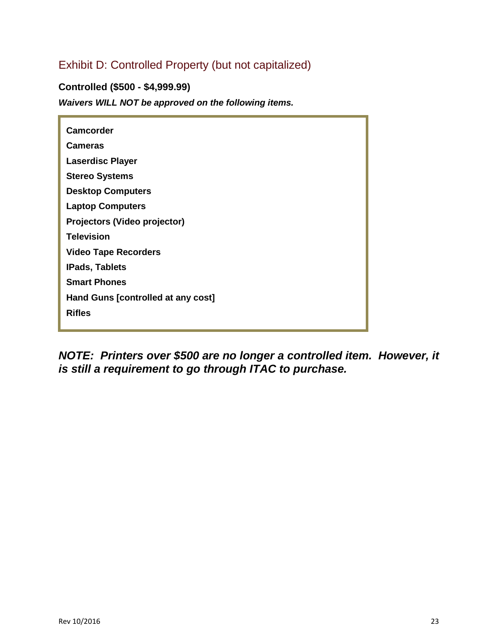# Exhibit D: Controlled Property (but not capitalized)

**Controlled (\$500 - \$4,999.99)**

*Waivers WILL NOT be approved on the following items.*

| <b>Camcorder</b>                   |
|------------------------------------|
| <b>Cameras</b>                     |
| <b>Laserdisc Player</b>            |
| <b>Stereo Systems</b>              |
| <b>Desktop Computers</b>           |
| <b>Laptop Computers</b>            |
| Projectors (Video projector)       |
| <b>Television</b>                  |
| <b>Video Tape Recorders</b>        |
| <b>IPads, Tablets</b>              |
| <b>Smart Phones</b>                |
| Hand Guns [controlled at any cost] |
| <b>Rifles</b>                      |

*NOTE: Printers over \$500 are no longer a controlled item. However, it is still a requirement to go through ITAC to purchase.*